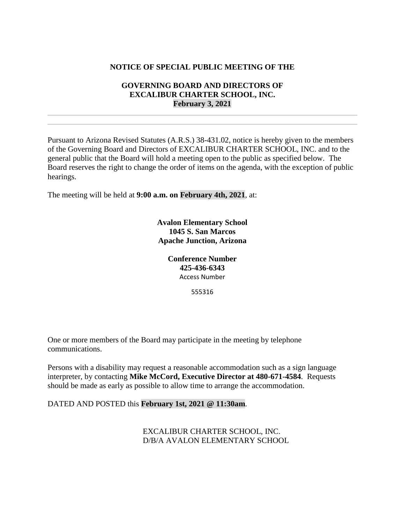# **NOTICE OF SPECIAL PUBLIC MEETING OF THE**

# **GOVERNING BOARD AND DIRECTORS OF EXCALIBUR CHARTER SCHOOL, INC. February 3, 2021**

Pursuant to Arizona Revised Statutes (A.R.S.) 38-431.02, notice is hereby given to the members of the Governing Board and Directors of EXCALIBUR CHARTER SCHOOL, INC. and to the general public that the Board will hold a meeting open to the public as specified below. The Board reserves the right to change the order of items on the agenda, with the exception of public hearings.

The meeting will be held at **9:00 a.m. on February 4th, 2021**, at:

**Avalon Elementary School 1045 S. San Marcos Apache Junction, Arizona**

> **Conference Number 425-436-6343** Access Number

> > 555316

One or more members of the Board may participate in the meeting by telephone communications.

Persons with a disability may request a reasonable accommodation such as a sign language interpreter, by contacting **Mike McCord, Executive Director at 480-671-4584**. Requests should be made as early as possible to allow time to arrange the accommodation.

#### DATED AND POSTED this **February 1st, 2021 @ 11:30am**.

EXCALIBUR CHARTER SCHOOL, INC. D/B/A AVALON ELEMENTARY SCHOOL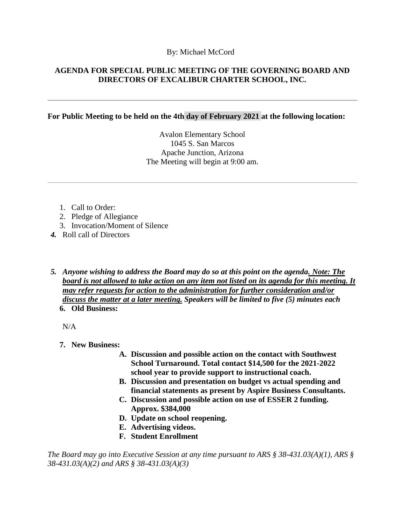## By: Michael McCord

# **AGENDA FOR SPECIAL PUBLIC MEETING OF THE GOVERNING BOARD AND DIRECTORS OF EXCALIBUR CHARTER SCHOOL, INC.**

### **For Public Meeting to be held on the 4th day of February 2021 at the following location:**

Avalon Elementary School 1045 S. San Marcos Apache Junction, Arizona The Meeting will begin at 9:00 am.

- 1. Call to Order:
- 2. Pledge of Allegiance
- 3. Invocation/Moment of Silence
- *4.* Roll call of Directors
- *5. Anyone wishing to address the Board may do so at this point on the agenda. Note: The board is not allowed to take action on any item not listed on its agenda for this meeting. It may refer requests for action to the administration for further consideration and/or discuss the matter at a later meeting. Speakers will be limited to five (5) minutes each* **6. Old Business:**

N/A

- **7. New Business:**
	- **A. Discussion and possible action on the contact with Southwest School Turnaround. Total contact \$14,500 for the 2021-2022 school year to provide support to instructional coach.**
	- **B. Discussion and presentation on budget vs actual spending and financial statements as present by Aspire Business Consultants.**
	- **C. Discussion and possible action on use of ESSER 2 funding. Approx. \$384,000**
	- **D. Update on school reopening.**
	- **E. Advertising videos.**
	- **F. Student Enrollment**

*The Board may go into Executive Session at any time pursuant to ARS § 38-431.03(A)(1), ARS § 38-431.03(A)(2) and ARS § 38-431.03(A)(3)*